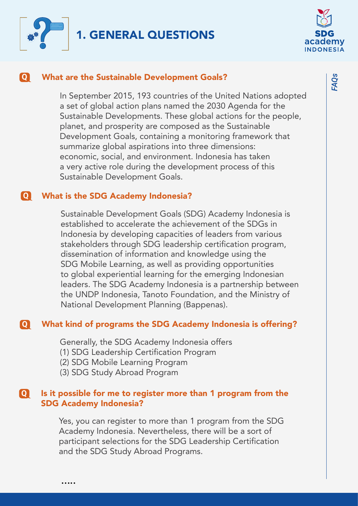



#### **Q** What are the Sustainable Development Goals?

In September 2015, 193 countries of the United Nations adopted a set of global action plans named the 2030 Agenda for the Sustainable Developments. These global actions for the people, planet, and prosperity are composed as the Sustainable Development Goals, containing a monitoring framework that summarize global aspirations into three dimensions: economic, social, and environment. Indonesia has taken a very active role during the development process of this Sustainable Development Goals.

#### **Q** What is the SDG Academy Indonesia?

Sustainable Development Goals (SDG) Academy Indonesia is established to accelerate the achievement of the SDGs in Indonesia by developing capacities of leaders from various stakeholders through SDG leadership certification program, dissemination of information and knowledge using the SDG Mobile Learning, as well as providing opportunities to global experiential learning for the emerging Indonesian leaders. The SDG Academy Indonesia is a partnership between the UNDP Indonesia, Tanoto Foundation, and the Ministry of National Development Planning (Bappenas).

#### **Q** What kind of programs the SDG Academy Indonesia is offering?

Generally, the SDG Academy Indonesia offers

- (1) SDG Leadership Certification Program
- (2) SDG Mobile Learning Program
- (3) SDG Study Abroad Program

.....

#### **Q** Is it possible for me to register more than 1 program from the SDG Academy Indonesia?

Yes, you can register to more than 1 program from the SDG Academy Indonesia. Nevertheless, there will be a sort of participant selections for the SDG Leadership Certification and the SDG Study Abroad Programs.

*FAQs*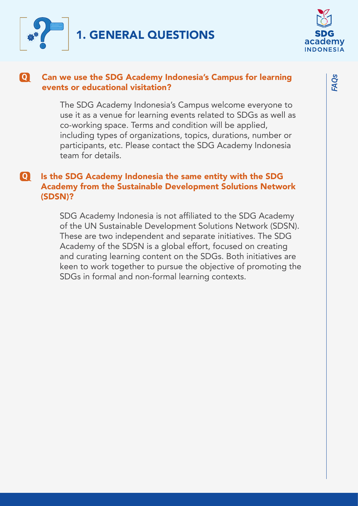



#### Can we use the SDG Academy Indonesia's Campus for learning events or educational visitation? **Q**

The SDG Academy Indonesia's Campus welcome everyone to use it as a venue for learning events related to SDGs as well as co-working space. Terms and condition will be applied, including types of organizations, topics, durations, number or participants, etc. Please contact the SDG Academy Indonesia team for details.

# **Q** Is the SDG Academy Indonesia the same entity with the SDG Academy from the Sustainable Development Solutions Network (SDSN)?

SDG Academy Indonesia is not affiliated to the SDG Academy of the UN Sustainable Development Solutions Network (SDSN). These are two independent and separate initiatives. The SDG Academy of the SDSN is a global effort, focused on creating and curating learning content on the SDGs. Both initiatives are keen to work together to pursue the objective of promoting the SDGs in formal and non-formal learning contexts.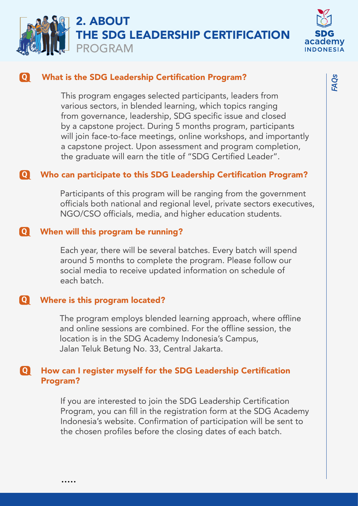



# **Q** What is the SDG Leadership Certification Program?

This program engages selected participants, leaders from various sectors, in blended learning, which topics ranging from governance, leadership, SDG specific issue and closed by a capstone project. During 5 months program, participants will join face-to-face meetings, online workshops, and importantly a capstone project. Upon assessment and program completion, the graduate will earn the title of "SDG Certified Leader".

# **Q** Who can participate to this SDG Leadership Certification Program?

Participants of this program will be ranging from the government officials both national and regional level, private sectors executives, NGO/CSO officials, media, and higher education students.

### **Q** When will this program be running?

Each year, there will be several batches. Every batch will spend around 5 months to complete the program. Please follow our social media to receive updated information on schedule of each batch.

### **Q** Where is this program located?

.....

The program employs blended learning approach, where offline and online sessions are combined. For the offline session, the location is in the SDG Academy Indonesia's Campus, Jalan Teluk Betung No. 33, Central Jakarta.

### **Q** How can I register myself for the SDG Leadership Certification Program?

If you are interested to join the SDG Leadership Certification Program, you can fill in the registration form at the SDG Academy Indonesia's website. Confirmation of participation will be sent to the chosen profiles before the closing dates of each batch.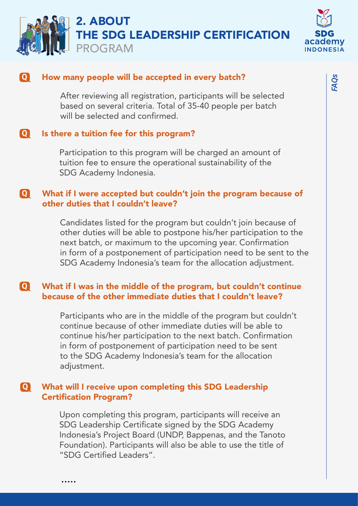



### **Q** How many people will be accepted in every batch?

After reviewing all registration, participants will be selected based on several criteria. Total of 35-40 people per batch will be selected and confirmed.

### **Q** Is there a tuition fee for this program?

Participation to this program will be charged an amount of tuition fee to ensure the operational sustainability of the SDG Academy Indonesia.

#### **Q** What if I were accepted but couldn't join the program because of other duties that I couldn't leave?

Candidates listed for the program but couldn't join because of other duties will be able to postpone his/her participation to the next batch, or maximum to the upcoming year. Confirmation in form of a postponement of participation need to be sent to the SDG Academy Indonesia's team for the allocation adjustment.

#### **Q** What if I was in the middle of the program, but couldn't continue because of the other immediate duties that I couldn't leave?

Participants who are in the middle of the program but couldn't continue because of other immediate duties will be able to continue his/her participation to the next batch. Confirmation in form of postponement of participation need to be sent to the SDG Academy Indonesia's team for the allocation adjustment.

# **Q** What will I receive upon completing this SDG Leadership Certification Program?

.....

Upon completing this program, participants will receive an SDG Leadership Certificate signed by the SDG Academy Indonesia's Project Board (UNDP, Bappenas, and the Tanoto Foundation). Participants will also be able to use the title of "SDG Certified Leaders".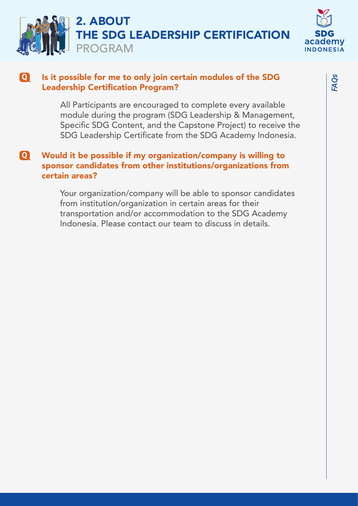



#### Is it possible for me to only join certain modules of the SDG Leadership Certification Program? **Q**

All Participants are encouraged to complete every available module during the program (SDG Leadership & Management, Specific SDG Content, and the Capstone Project) to receive the SDG Leadership Certificate from the SDG Academy Indonesia.

# **Q** Would it be possible if my organization/company is willing to sponsor candidates from other institutions/organizations from certain areas?

Your organization/company will be able to sponsor candidates from institution/organization in certain areas for their transportation and/or accommodation to the SDG Academy Indonesia. Please contact our team to discuss in details.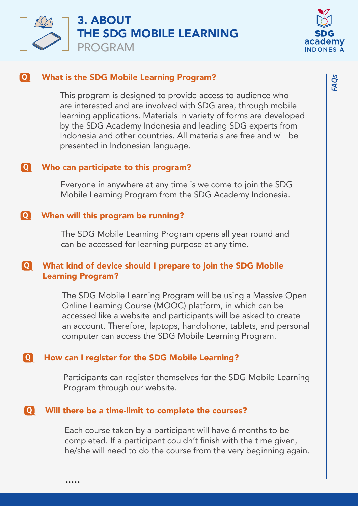



## **Q** What is the SDG Mobile Learning Program?

This program is designed to provide access to audience who are interested and are involved with SDG area, through mobile learning applications. Materials in variety of forms are developed by the SDG Academy Indonesia and leading SDG experts from Indonesia and other countries. All materials are free and will be presented in Indonesian language.

### **Q** Who can participate to this program?

Everyone in anywhere at any time is welcome to join the SDG Mobile Learning Program from the SDG Academy Indonesia.

### **Q** When will this program be running?

The SDG Mobile Learning Program opens all year round and can be accessed for learning purpose at any time.

# **Q** What kind of device should I prepare to join the SDG Mobile Learning Program?

The SDG Mobile Learning Program will be using a Massive Open Online Learning Course (MOOC) platform, in which can be accessed like a website and participants will be asked to create an account. Therefore, laptops, handphone, tablets, and personal computer can access the SDG Mobile Learning Program.

### **Q** How can I register for the SDG Mobile Learning?

Participants can register themselves for the SDG Mobile Learning Program through our website.

### **Q** Will there be a time-limit to complete the courses?

.....

Each course taken by a participant will have 6 months to be completed. If a participant couldn't finish with the time given, he/she will need to do the course from the very beginning again. *FAQs*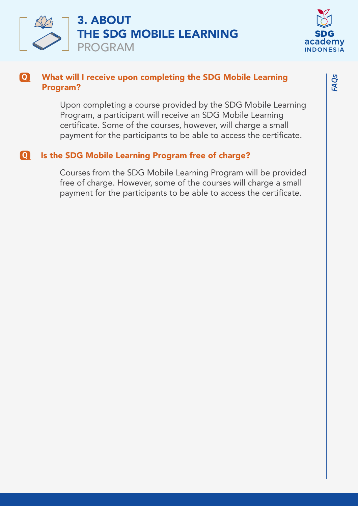



#### What will I receive upon completing the SDG Mobile Learning Program? **Q**

Upon completing a course provided by the SDG Mobile Learning Program, a participant will receive an SDG Mobile Learning certificate. Some of the courses, however, will charge a small payment for the participants to be able to access the certificate.

# **Q** Is the SDG Mobile Learning Program free of charge?

Courses from the SDG Mobile Learning Program will be provided free of charge. However, some of the courses will charge a small payment for the participants to be able to access the certificate.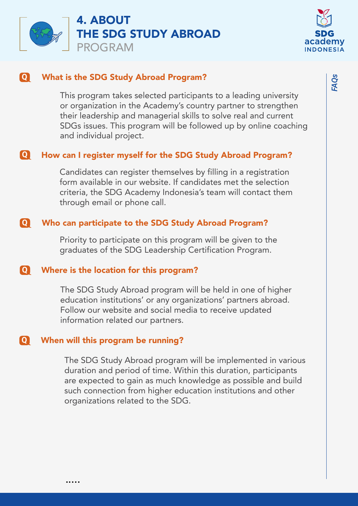



# **Q** What is the SDG Study Abroad Program?

This program takes selected participants to a leading university or organization in the Academy's country partner to strengthen their leadership and managerial skills to solve real and current SDGs issues. This program will be followed up by online coaching and individual project.

# **Q** How can I register myself for the SDG Study Abroad Program?

Candidates can register themselves by filling in a registration form available in our website. If candidates met the selection criteria, the SDG Academy Indonesia's team will contact them through email or phone call.

# **Q** Who can participate to the SDG Study Abroad Program?

Priority to participate on this program will be given to the graduates of the SDG Leadership Certification Program.

### **Q** Where is the location for this program?

The SDG Study Abroad program will be held in one of higher education institutions' or any organizations' partners abroad. Follow our website and social media to receive updated information related our partners.

#### **Q** When will this program be running?

The SDG Study Abroad program will be implemented in various duration and period of time. Within this duration, participants are expected to gain as much knowledge as possible and build such connection from higher education institutions and other organizations related to the SDG.

*FAQs*